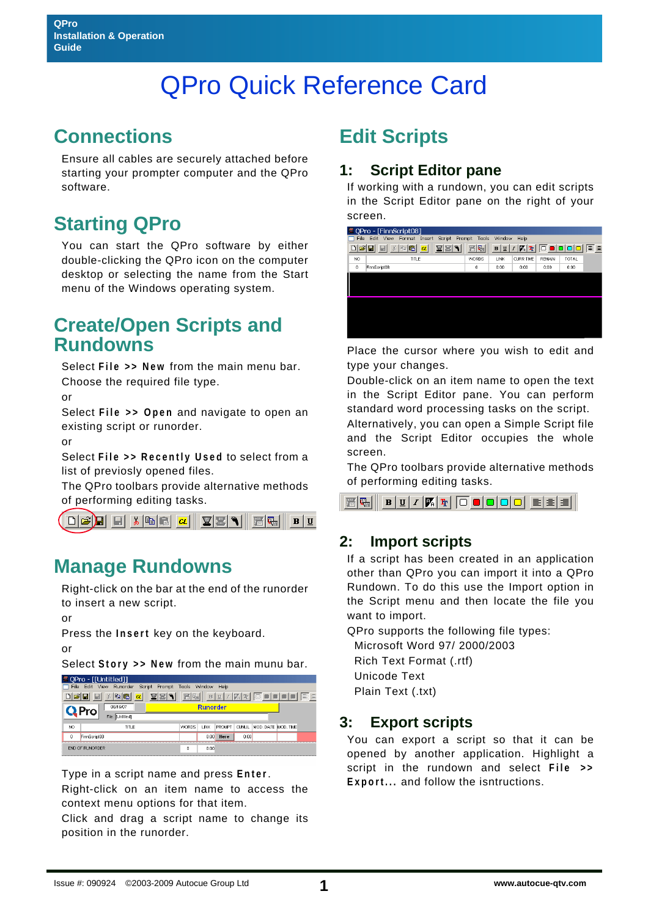# QPro Quick Reference Card

### **Connections**

Ensure all cables are securely attached before starting your prompter computer and the QPro software.

# **Starting QPro**

You can start the QPro software by either double-clicking the QPro icon on the computer desktop or selecting the name from the Start menu of the Windows operating system.

### **Create/Open Scripts and Rundowns**

Select **File >> New** from the main menu bar. Choose the required file type.

or

Select **File >> Open** and navigate to open an existing script or runorder.

or

Select **File >> Recently Used** to select from a list of previosly opened files.

The QPro toolbars provide alternative methods of performing editing tasks.



### **Manage Rundowns**

Right-click on the bar at the end of the runorder to insert a new script.

or

Press the **Insert** key on the keyboard.

or

Select **Story >> New** from the main munu bar.

| )Pro - [[Untitled]]                            |              |                           |                 |              |       |               |              |                     |  |  |  |  |
|------------------------------------------------|--------------|---------------------------|-----------------|--------------|-------|---------------|--------------|---------------------|--|--|--|--|
| File                                           | Edit View    | Runorder                  | Script Prompt   |              | Tools | Window        | Help         |                     |  |  |  |  |
| 啺<br>礝<br>le e<br>憎<br>变<br>CL<br>Th<br>в<br>U |              |                           |                 |              |       |               |              |                     |  |  |  |  |
|                                                |              | 08/16/07                  | <b>Runorder</b> |              |       |               |              |                     |  |  |  |  |
|                                                |              | <b>Untitled1</b><br>File: |                 |              |       |               |              |                     |  |  |  |  |
| NO.                                            | TITLE        |                           |                 | <b>WORDS</b> | LINK  | <b>PROMPT</b> | <b>CUMUL</b> | MOD. DATE MOD. TIME |  |  |  |  |
| o                                              | FinnScript08 |                           |                 |              |       | 0:00          | Here         | 0:00                |  |  |  |  |
| <b>END OF RUNORDER</b>                         |              |                           |                 | 0            | 0:00  |               |              |                     |  |  |  |  |

Type in a script name and press **Enter**.

Right-click on an item name to access the context menu options for that item.

Click and drag a script name to change its position in the runorder.

# **Edit Scripts**

#### **1: Script Editor pane**

If working with a rundown, you can edit scripts in the Script Editor pane on the right of your screen.

| QPro - [FinnScript08]                                                                   |                                                       |              |       |                             |               |              |    |  |  |  |
|-----------------------------------------------------------------------------------------|-------------------------------------------------------|--------------|-------|-----------------------------|---------------|--------------|----|--|--|--|
| Edit<br>File<br>Insert<br>Tools<br>Window<br>View<br>Format<br>Script<br>Prompt<br>Help |                                                       |              |       |                             |               |              |    |  |  |  |
|                                                                                         | $\pmb{\alpha}$<br>ZZ <br>$X$ to $ $ c $ $<br>c d<br>⊟ | 晋喝           | B   U | m<br>$\boldsymbol{I}$<br>Ŧ. |               |              | 医主 |  |  |  |
| NO                                                                                      | TITLE                                                 | <b>WORDS</b> | LINK  | <b>CURR TIME</b>            | <b>REMAIN</b> | <b>TOTAL</b> |    |  |  |  |
| 0                                                                                       | FinnScript08                                          | $\theta$     | 0:00  | 0:00                        | 0:00          | 0:00         |    |  |  |  |
|                                                                                         |                                                       |              |       |                             |               |              |    |  |  |  |
|                                                                                         |                                                       |              |       |                             |               |              |    |  |  |  |
|                                                                                         |                                                       |              |       |                             |               |              |    |  |  |  |
|                                                                                         |                                                       |              |       |                             |               |              |    |  |  |  |
|                                                                                         |                                                       |              |       |                             |               |              |    |  |  |  |
|                                                                                         |                                                       |              |       |                             |               |              |    |  |  |  |
|                                                                                         |                                                       |              |       |                             |               |              |    |  |  |  |
|                                                                                         |                                                       |              |       |                             |               |              |    |  |  |  |

Place the cursor where you wish to edit and type your changes.

Double-click on an item name to open the text in the Script Editor pane. You can perform standard word processing tasks on the script.

Alternatively, you can open a Simple Script file and the Script Editor occupies the whole screen.

The QPro toolbars provide alternative methods of performing editing tasks.

 $\boxed{\mathbf{B} \left| \underline{\mathbf{U}} \right| I \left| \overline{\mathbf{V}}_n \right| \overline{\mathbf{T}}_1 \left| \overline{\mathbf{O}} \right. \overline{\mathbf{O}} \left| \mathbf{O} \right| \overline{\mathbf{O}} \left| \overline{\mathbf{O}} \right| \overline{\mathbf{E}} \left| \overline{\mathbf{\Xi}} \right| \overline{\mathbf{\Xi}} \left| \overline{\mathbf{\Xi}} \right|$ 層陽川

#### **2: Import scripts**

If a script has been created in an application other than QPro you can import it into a QPro Rundown. To do this use the Import option in the Script menu and then locate the file you want to import.

QPro supports the following file types:

 Microsoft Word 97/ 2000/2003 Rich Text Format (.rtf) Unicode Text

Plain Text (.txt)

#### **3: Export scripts**

You can export a script so that it can be opened by another application. Highlight a script in the rundown and select **File >> Export...** and follow the isntructions.